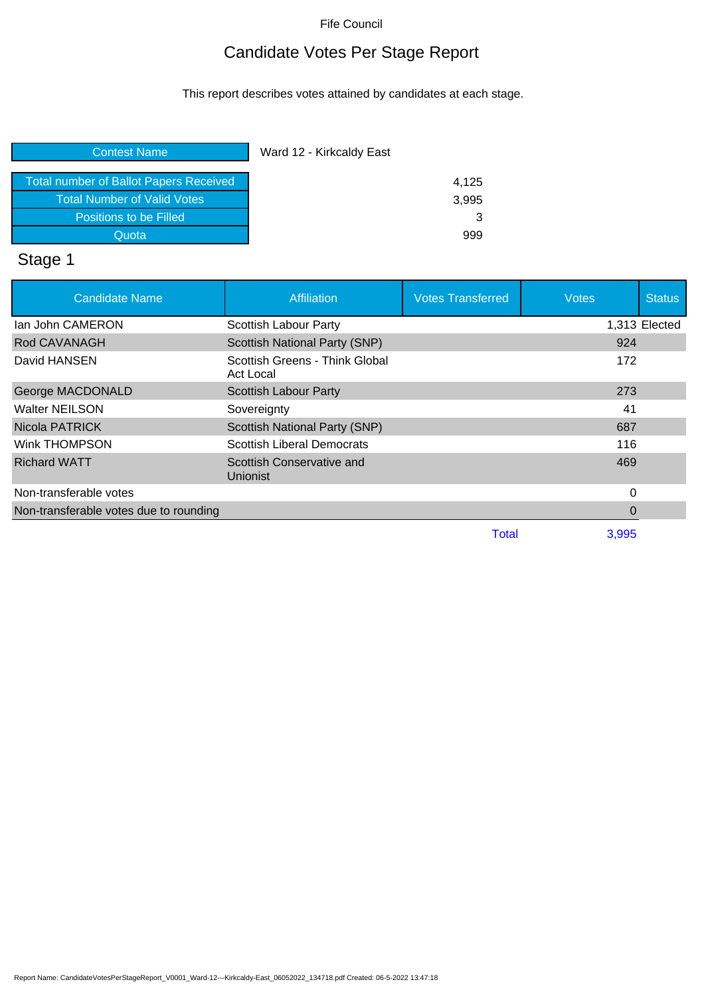## Candidate Votes Per Stage Report

This report describes votes attained by candidates at each stage.

| Ward 12 - Kirkcaldy East |
|--------------------------|
| 4,125                    |
| 3,995                    |
| 3                        |
| 999                      |
|                          |

# Stage 1

| <b>Candidate Name</b>                  | <b>Affiliation</b>                           | <b>Votes Transferred</b> | <b>Votes</b> | <b>Status</b> |
|----------------------------------------|----------------------------------------------|--------------------------|--------------|---------------|
| lan John CAMERON                       | Scottish Labour Party                        |                          |              | 1,313 Elected |
| Rod CAVANAGH                           | Scottish National Party (SNP)                |                          | 924          |               |
| David HANSEN                           | Scottish Greens - Think Global<br>Act Local  |                          | 172          |               |
| George MACDONALD                       | <b>Scottish Labour Party</b>                 |                          | 273          |               |
| <b>Walter NEILSON</b>                  | Sovereignty                                  |                          | 41           |               |
| Nicola PATRICK                         | Scottish National Party (SNP)                |                          | 687          |               |
| Wink THOMPSON                          | <b>Scottish Liberal Democrats</b>            |                          | 116          |               |
| <b>Richard WATT</b>                    | Scottish Conservative and<br><b>Unionist</b> |                          | 469          |               |
| Non-transferable votes                 |                                              |                          | 0            |               |
| Non-transferable votes due to rounding |                                              |                          | O            |               |
|                                        |                                              | Total                    | 3,995        |               |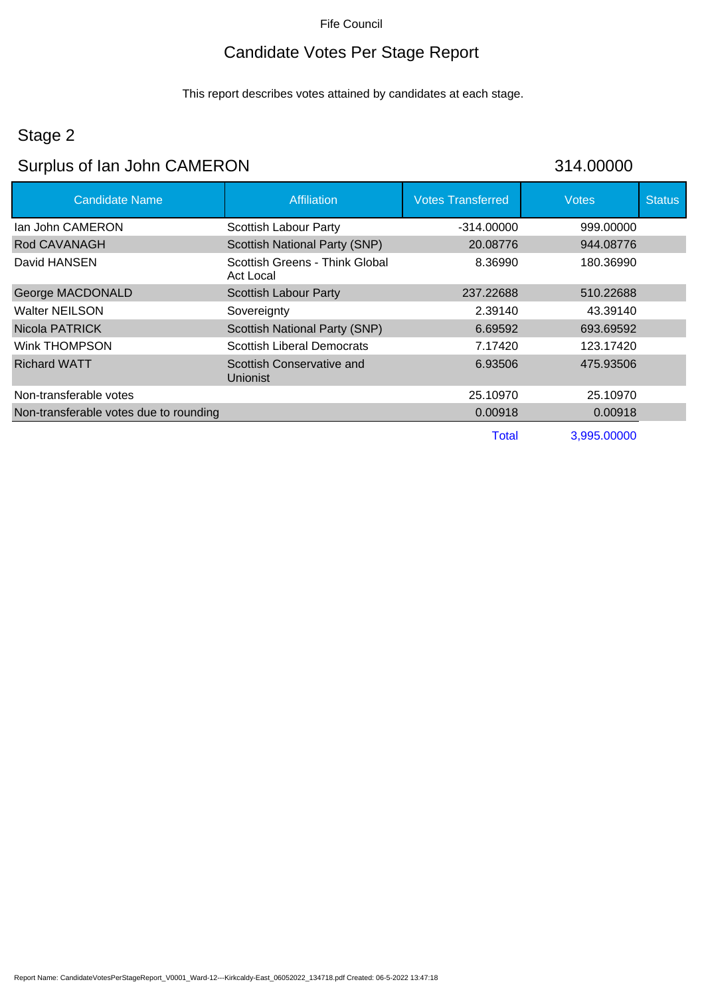## Candidate Votes Per Stage Report

This report describes votes attained by candidates at each stage.

## Stage 2

## Surplus of Ian John CAMERON 314.00000

| <b>Candidate Name</b>                  | Affiliation                                 | <b>Votes Transferred</b> | <b>Votes</b> | <b>Status</b> |
|----------------------------------------|---------------------------------------------|--------------------------|--------------|---------------|
| lan John CAMERON                       | Scottish Labour Party                       | -314.00000               | 999,00000    |               |
| Rod CAVANAGH                           | Scottish National Party (SNP)               | 20.08776                 | 944.08776    |               |
| David HANSEN                           | Scottish Greens - Think Global<br>Act Local | 8.36990                  | 180.36990    |               |
| George MACDONALD                       | <b>Scottish Labour Party</b>                | 237.22688                | 510.22688    |               |
| Walter NEILSON                         | Sovereignty                                 | 2.39140                  | 43.39140     |               |
| Nicola PATRICK                         | <b>Scottish National Party (SNP)</b>        | 6.69592                  | 693.69592    |               |
| Wink THOMPSON                          | <b>Scottish Liberal Democrats</b>           | 7.17420                  | 123.17420    |               |
| <b>Richard WATT</b>                    | Scottish Conservative and<br>Unionist       | 6.93506                  | 475.93506    |               |
| Non-transferable votes                 |                                             | 25.10970                 | 25.10970     |               |
| Non-transferable votes due to rounding |                                             | 0.00918                  | 0.00918      |               |
|                                        |                                             | <b>Total</b>             | 3,995.00000  |               |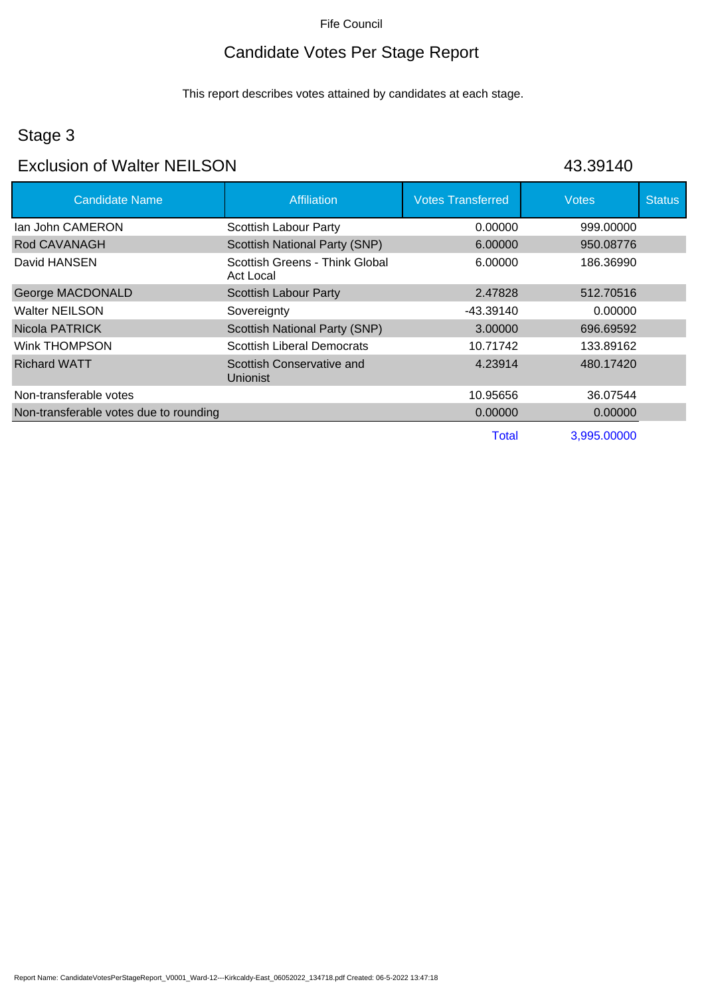## Candidate Votes Per Stage Report

This report describes votes attained by candidates at each stage.

## Stage 3

#### Exclusion of Walter NEILSON 43.39140

| <b>Candidate Name</b>                  | <b>Affiliation</b>                           | <b>Votes Transferred</b> | <b>Votes</b> | <b>Status</b> |
|----------------------------------------|----------------------------------------------|--------------------------|--------------|---------------|
| lan John CAMERON                       | Scottish Labour Party                        | 0.00000                  | 999.00000    |               |
| Rod CAVANAGH                           | Scottish National Party (SNP)                | 6.00000                  | 950.08776    |               |
| David HANSEN                           | Scottish Greens - Think Global<br>Act Local  | 6.00000                  | 186.36990    |               |
| George MACDONALD                       | Scottish Labour Party                        | 2.47828                  | 512.70516    |               |
| <b>Walter NEILSON</b>                  | Sovereignty                                  | -43.39140                | 0.00000      |               |
| Nicola PATRICK                         | <b>Scottish National Party (SNP)</b>         | 3.00000                  | 696.69592    |               |
| Wink THOMPSON                          | <b>Scottish Liberal Democrats</b>            | 10.71742                 | 133.89162    |               |
| <b>Richard WATT</b>                    | Scottish Conservative and<br><b>Unionist</b> | 4.23914                  | 480.17420    |               |
| Non-transferable votes                 |                                              | 10.95656                 | 36.07544     |               |
| Non-transferable votes due to rounding |                                              | 0.00000                  | 0.00000      |               |
|                                        |                                              | Total                    | 3,995.00000  |               |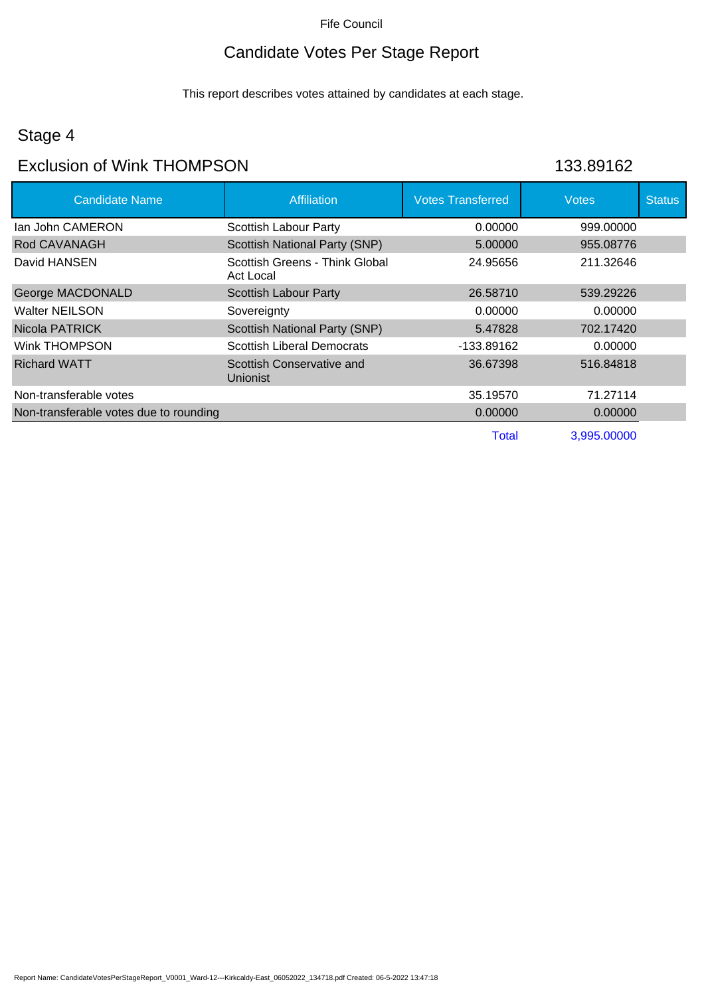## Candidate Votes Per Stage Report

This report describes votes attained by candidates at each stage.

#### Stage 4

#### Exclusion of Wink THOMPSON 133.89162

| <b>Candidate Name</b>                  | <b>Affiliation</b>                          | <b>Votes Transferred</b> | <b>Votes</b> | <b>Status</b> |
|----------------------------------------|---------------------------------------------|--------------------------|--------------|---------------|
| lan John CAMERON                       | <b>Scottish Labour Party</b>                | 0.00000                  | 999.00000    |               |
| Rod CAVANAGH                           | Scottish National Party (SNP)               | 5.00000                  | 955.08776    |               |
| David HANSEN                           | Scottish Greens - Think Global<br>Act Local | 24.95656                 | 211.32646    |               |
| George MACDONALD                       | <b>Scottish Labour Party</b>                | 26.58710                 | 539.29226    |               |
| Walter NEILSON                         | Sovereignty                                 | 0.00000                  | 0.00000      |               |
| Nicola PATRICK                         | <b>Scottish National Party (SNP)</b>        | 5.47828                  | 702.17420    |               |
| Wink THOMPSON                          | <b>Scottish Liberal Democrats</b>           | -133.89162               | 0.00000      |               |
| <b>Richard WATT</b>                    | Scottish Conservative and<br>Unionist       | 36.67398                 | 516.84818    |               |
| Non-transferable votes                 |                                             | 35.19570                 | 71.27114     |               |
| Non-transferable votes due to rounding |                                             | 0.00000                  | 0.00000      |               |
|                                        |                                             | <b>Total</b>             | 3,995.00000  |               |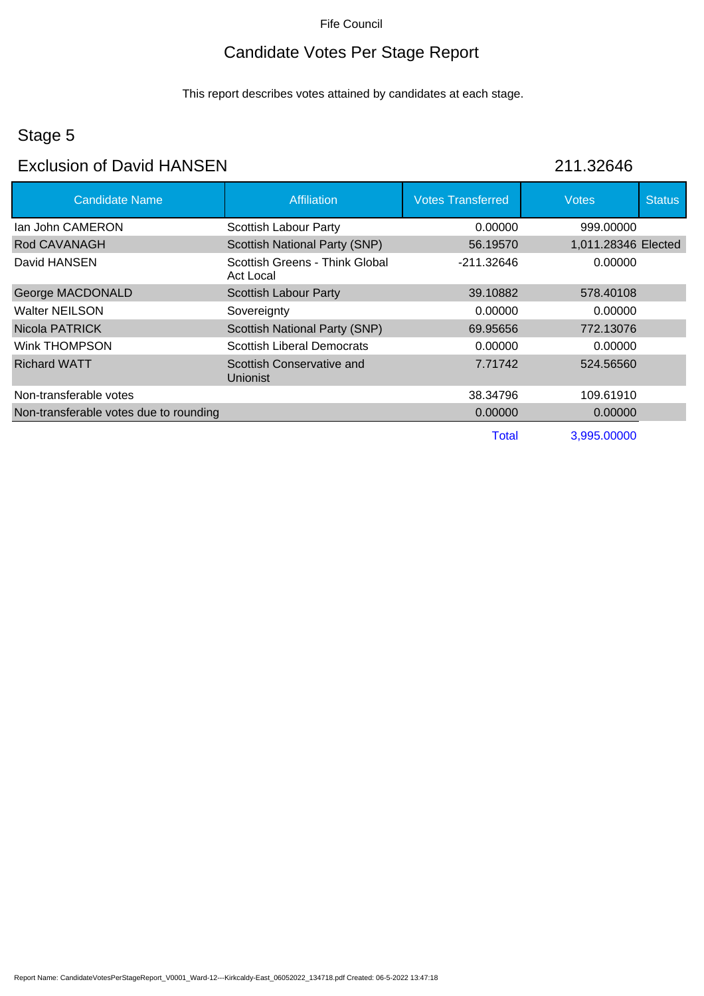## Candidate Votes Per Stage Report

This report describes votes attained by candidates at each stage.

## Stage 5

#### Exclusion of David HANSEN 211.32646

| <b>Candidate Name</b>                  | Affiliation                                  | <b>Votes Transferred</b> | <b>Votes</b>        | <b>Status</b> |
|----------------------------------------|----------------------------------------------|--------------------------|---------------------|---------------|
| lan John CAMERON                       | Scottish Labour Party                        | 0.00000                  | 999.00000           |               |
| Rod CAVANAGH                           | Scottish National Party (SNP)                | 56.19570                 | 1,011.28346 Elected |               |
| David HANSEN                           | Scottish Greens - Think Global<br>Act Local  | $-211.32646$             | 0.00000             |               |
| George MACDONALD                       | <b>Scottish Labour Party</b>                 | 39.10882                 | 578.40108           |               |
| <b>Walter NEILSON</b>                  | Sovereignty                                  | 0.00000                  | 0.00000             |               |
| Nicola PATRICK                         | <b>Scottish National Party (SNP)</b>         | 69.95656                 | 772.13076           |               |
| Wink THOMPSON                          | <b>Scottish Liberal Democrats</b>            | 0.00000                  | 0.00000             |               |
| <b>Richard WATT</b>                    | Scottish Conservative and<br><b>Unionist</b> | 7.71742                  | 524.56560           |               |
| Non-transferable votes                 |                                              | 38.34796                 | 109.61910           |               |
| Non-transferable votes due to rounding |                                              | 0.00000                  | 0.00000             |               |
|                                        |                                              | Total                    | 3,995.00000         |               |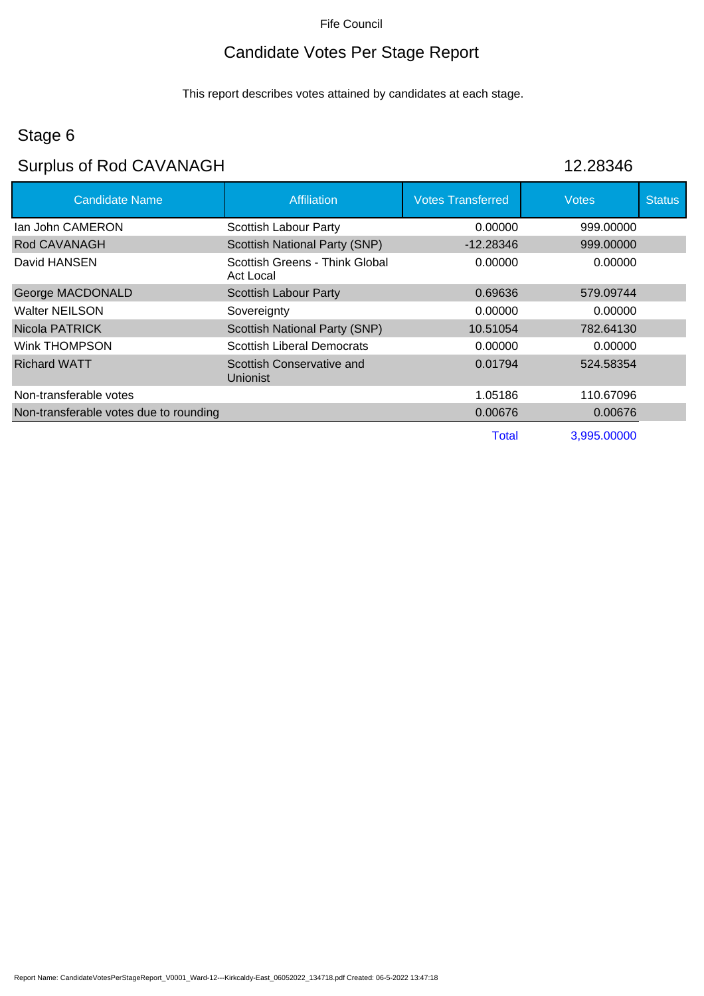## Candidate Votes Per Stage Report

This report describes votes attained by candidates at each stage.

## Stage 6

# Surplus of Rod CAVANAGH 12.28346

| <b>Candidate Name</b>                  | <b>Affiliation</b>                          | <b>Votes Transferred</b> | <b>Votes</b> | <b>Status</b> |
|----------------------------------------|---------------------------------------------|--------------------------|--------------|---------------|
| lan John CAMERON                       | <b>Scottish Labour Party</b>                | 0.00000                  | 999.00000    |               |
| Rod CAVANAGH                           | <b>Scottish National Party (SNP)</b>        | $-12.28346$              | 999.00000    |               |
| David HANSEN                           | Scottish Greens - Think Global<br>Act Local | 0.00000                  | 0.00000      |               |
| George MACDONALD                       | Scottish Labour Party                       | 0.69636                  | 579.09744    |               |
| <b>Walter NEILSON</b>                  | Sovereignty                                 | 0.00000                  | 0.00000      |               |
| Nicola PATRICK                         | <b>Scottish National Party (SNP)</b>        | 10.51054                 | 782.64130    |               |
| Wink THOMPSON                          | <b>Scottish Liberal Democrats</b>           | 0.00000                  | 0.00000      |               |
| <b>Richard WATT</b>                    | Scottish Conservative and<br>Unionist       | 0.01794                  | 524.58354    |               |
| Non-transferable votes                 |                                             | 1.05186                  | 110.67096    |               |
| Non-transferable votes due to rounding |                                             | 0.00676                  | 0.00676      |               |
|                                        |                                             | <b>Total</b>             | 3,995.00000  |               |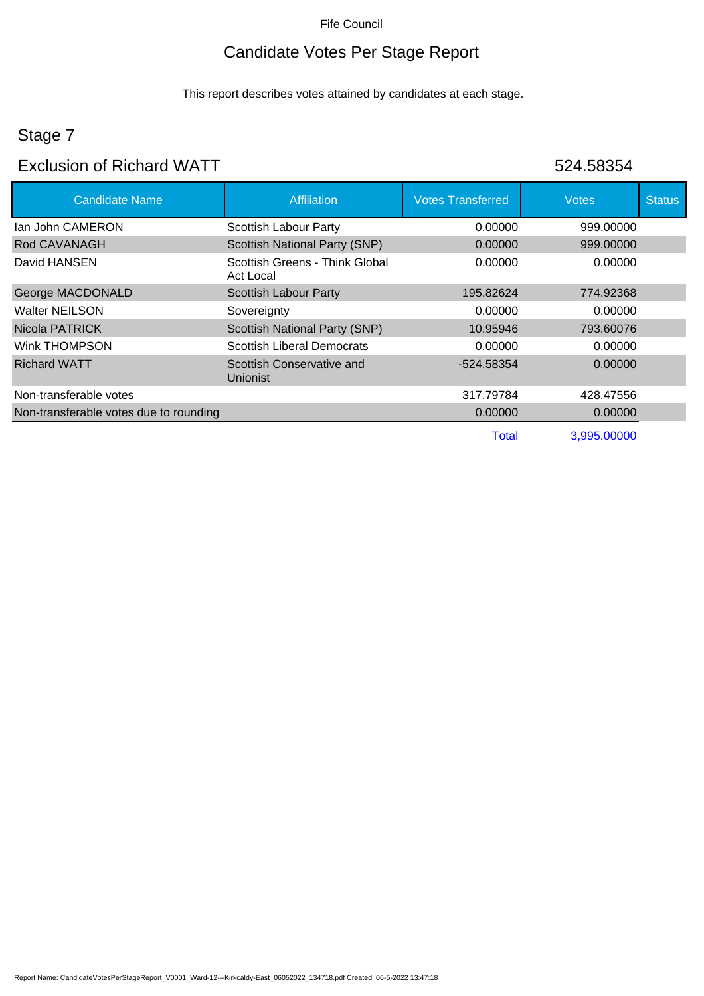## Candidate Votes Per Stage Report

This report describes votes attained by candidates at each stage.

## Stage 7

#### Exclusion of Richard WATT 524.58354

| <b>Candidate Name</b>                  | <b>Affiliation</b>                          | <b>Votes Transferred</b> | <b>Votes</b> | <b>Status</b> |
|----------------------------------------|---------------------------------------------|--------------------------|--------------|---------------|
| lan John CAMERON                       | Scottish Labour Party                       | 0.00000                  | 999,00000    |               |
| Rod CAVANAGH                           | Scottish National Party (SNP)               | 0.00000                  | 999,00000    |               |
| David HANSEN                           | Scottish Greens - Think Global<br>Act Local | 0.00000                  | 0.00000      |               |
| George MACDONALD                       | <b>Scottish Labour Party</b>                | 195.82624                | 774.92368    |               |
| Walter NEILSON                         | Sovereignty                                 | 0.00000                  | 0.00000      |               |
| Nicola PATRICK                         | <b>Scottish National Party (SNP)</b>        | 10.95946                 | 793,60076    |               |
| Wink THOMPSON                          | <b>Scottish Liberal Democrats</b>           | 0.00000                  | 0.00000      |               |
| <b>Richard WATT</b>                    | Scottish Conservative and<br>Unionist       | -524.58354               | 0.00000      |               |
| Non-transferable votes                 |                                             | 317.79784                | 428.47556    |               |
| Non-transferable votes due to rounding |                                             | 0.00000                  | 0.00000      |               |
|                                        |                                             | <b>Total</b>             | 3,995.00000  |               |